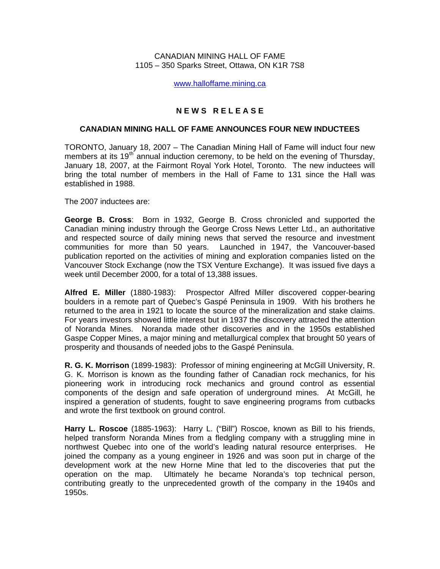CANADIAN MINING HALL OF FAME 1105 – 350 Sparks Street, Ottawa, ON K1R 7S8

[www.halloffame.mining.ca](http://www.halloffame.mining.ca)

## **N E W S R E L E A S E**

## **CANADIAN MINING HALL OF FAME ANNOUNCES FOUR NEW INDUCTEES**

TORONTO, January 18, 2007 – The Canadian Mining Hall of Fame will induct four new members at its 19<sup>th</sup> annual induction ceremony, to be held on the evening of Thursday, January 18, 2007, at the Fairmont Royal York Hotel, Toronto. The new inductees will bring the total number of members in the Hall of Fame to 131 since the Hall was established in 1988.

The 2007 inductees are:

**George B. Cross**: Born in 1932, George B. Cross chronicled and supported the Canadian mining industry through the George Cross News Letter Ltd., an authoritative and respected source of daily mining news that served the resource and investment communities for more than 50 years. Launched in 1947, the Vancouver-based publication reported on the activities of mining and exploration companies listed on the Vancouver Stock Exchange (now the TSX Venture Exchange). It was issued five days a week until December 2000, for a total of 13,388 issues.

**Alfred E. Miller** (1880-1983): Prospector Alfred Miller discovered copper-bearing boulders in a remote part of Quebec's Gaspé Peninsula in 1909. With his brothers he returned to the area in 1921 to locate the source of the mineralization and stake claims. For years investors showed little interest but in 1937 the discovery attracted the attention of Noranda Mines. Noranda made other discoveries and in the 1950s established Gaspe Copper Mines, a major mining and metallurgical complex that brought 50 years of prosperity and thousands of needed jobs to the Gaspé Peninsula.

**R. G. K. Morrison** (1899-1983): Professor of mining engineering at McGill University, R. G. K. Morrison is known as the founding father of Canadian rock mechanics, for his pioneering work in introducing rock mechanics and ground control as essential components of the design and safe operation of underground mines. At McGill, he inspired a generation of students, fought to save engineering programs from cutbacks and wrote the first textbook on ground control.

**Harry L. Roscoe** (1885-1963): Harry L. ("Bill") Roscoe, known as Bill to his friends, helped transform Noranda Mines from a fledgling company with a struggling mine in northwest Quebec into one of the world's leading natural resource enterprises. He joined the company as a young engineer in 1926 and was soon put in charge of the development work at the new Horne Mine that led to the discoveries that put the operation on the map. Ultimately he became Noranda's top technical person, contributing greatly to the unprecedented growth of the company in the 1940s and 1950s.